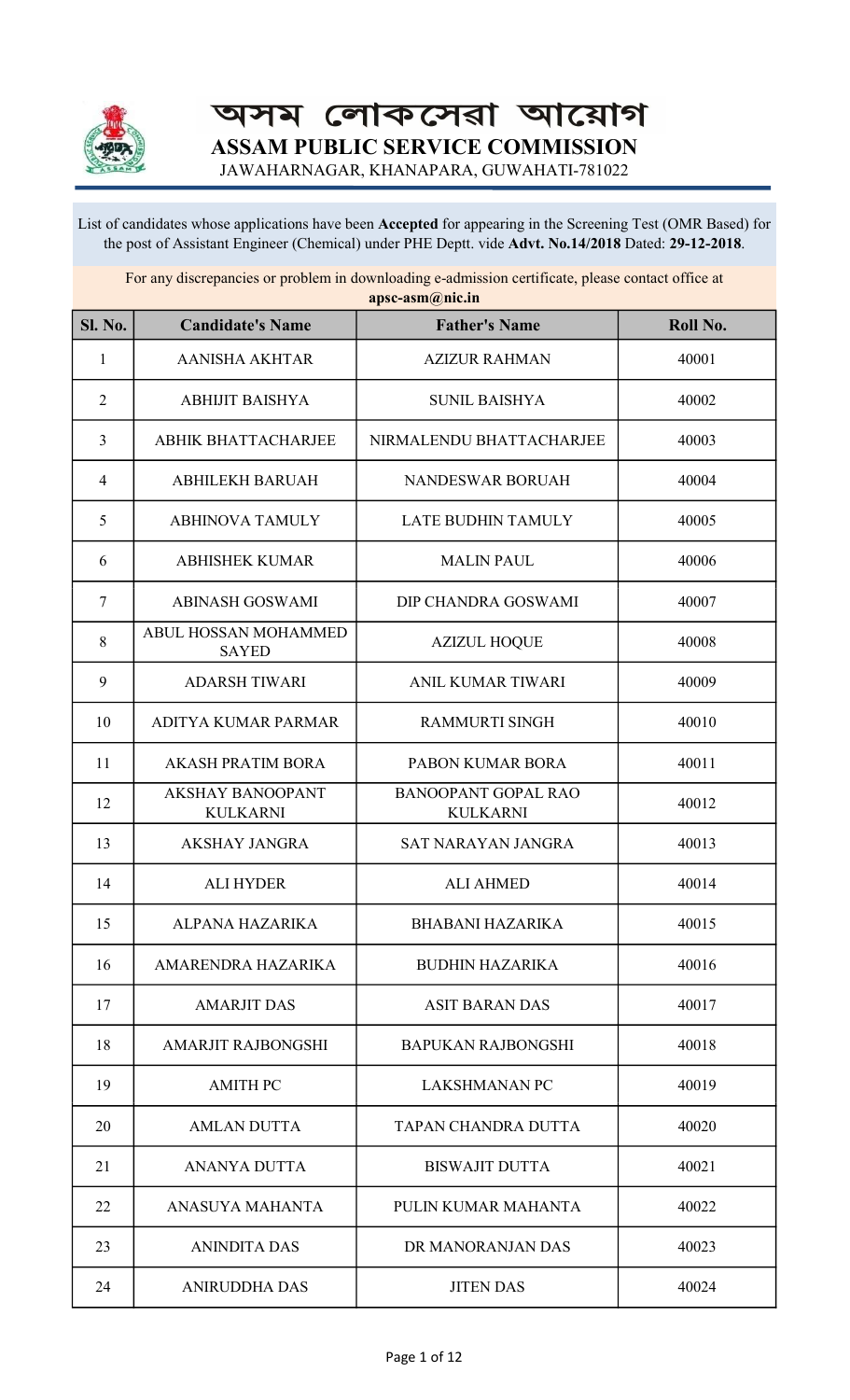

অসম লোকসেৱা আয়োগ ASSAM PUBLIC SERVICE COMMISSION

JAWAHARNAGAR, KHANAPARA, GUWAHATI-781022

List of candidates whose applications have been Accepted for appearing in the Screening Test (OMR Based) for the post of Assistant Engineer (Chemical) under PHE Deptt. vide Advt. No.14/2018 Dated: 29-12-2018.

For any discrepancies or problem in downloading e-admission certificate, please contact office at apsc-asm@nic.in

| <b>Sl. No.</b> | <b>Candidate's Name</b>                    | арэс аэшwлгени<br><b>Father's Name</b>        | Roll No. |
|----------------|--------------------------------------------|-----------------------------------------------|----------|
| $\mathbf{1}$   | <b>AANISHA AKHTAR</b>                      | <b>AZIZUR RAHMAN</b>                          | 40001    |
| $\overline{2}$ | <b>ABHIJIT BAISHYA</b>                     | <b>SUNIL BAISHYA</b>                          | 40002    |
| $\overline{3}$ | <b>ABHIK BHATTACHARJEE</b>                 | NIRMALENDU BHATTACHARJEE                      | 40003    |
| $\overline{4}$ | <b>ABHILEKH BARUAH</b>                     | <b>NANDESWAR BORUAH</b>                       | 40004    |
| 5              | <b>ABHINOVA TAMULY</b>                     | <b>LATE BUDHIN TAMULY</b>                     | 40005    |
| 6              | <b>ABHISHEK KUMAR</b>                      | <b>MALIN PAUL</b>                             | 40006    |
| $\overline{7}$ | <b>ABINASH GOSWAMI</b>                     | DIP CHANDRA GOSWAMI                           | 40007    |
| 8              | ABUL HOSSAN MOHAMMED<br><b>SAYED</b>       | <b>AZIZUL HOQUE</b>                           | 40008    |
| 9              | <b>ADARSH TIWARI</b>                       | <b>ANIL KUMAR TIWARI</b>                      | 40009    |
| 10             | ADITYA KUMAR PARMAR                        | <b>RAMMURTI SINGH</b>                         | 40010    |
| 11             | <b>AKASH PRATIM BORA</b>                   | PABON KUMAR BORA                              | 40011    |
| 12             | <b>AKSHAY BANOOPANT</b><br><b>KULKARNI</b> | <b>BANOOPANT GOPAL RAO</b><br><b>KULKARNI</b> | 40012    |
| 13             | <b>AKSHAY JANGRA</b>                       | SAT NARAYAN JANGRA                            | 40013    |
| 14             | <b>ALI HYDER</b>                           | <b>ALI AHMED</b>                              | 40014    |
| 15             | ALPANA HAZARIKA                            | <b>BHABANI HAZARIKA</b>                       | 40015    |
| 16             | AMARENDRA HAZARIKA                         | <b>BUDHIN HAZARIKA</b>                        | 40016    |
| 17             | <b>AMARJIT DAS</b>                         | <b>ASIT BARAN DAS</b>                         | 40017    |
| 18             | <b>AMARJIT RAJBONGSHI</b>                  | <b>BAPUKAN RAJBONGSHI</b>                     | 40018    |
| 19             | <b>AMITH PC</b>                            | <b>LAKSHMANAN PC</b>                          | 40019    |
| 20             | <b>AMLAN DUTTA</b>                         | TAPAN CHANDRA DUTTA                           | 40020    |
| 21             | <b>ANANYA DUTTA</b>                        | <b>BISWAJIT DUTTA</b>                         | 40021    |
| 22             | ANASUYA MAHANTA                            | PULIN KUMAR MAHANTA                           | 40022    |
| 23             | <b>ANINDITA DAS</b>                        | DR MANORANJAN DAS                             | 40023    |
| 24             | <b>ANIRUDDHA DAS</b>                       | <b>JITEN DAS</b>                              | 40024    |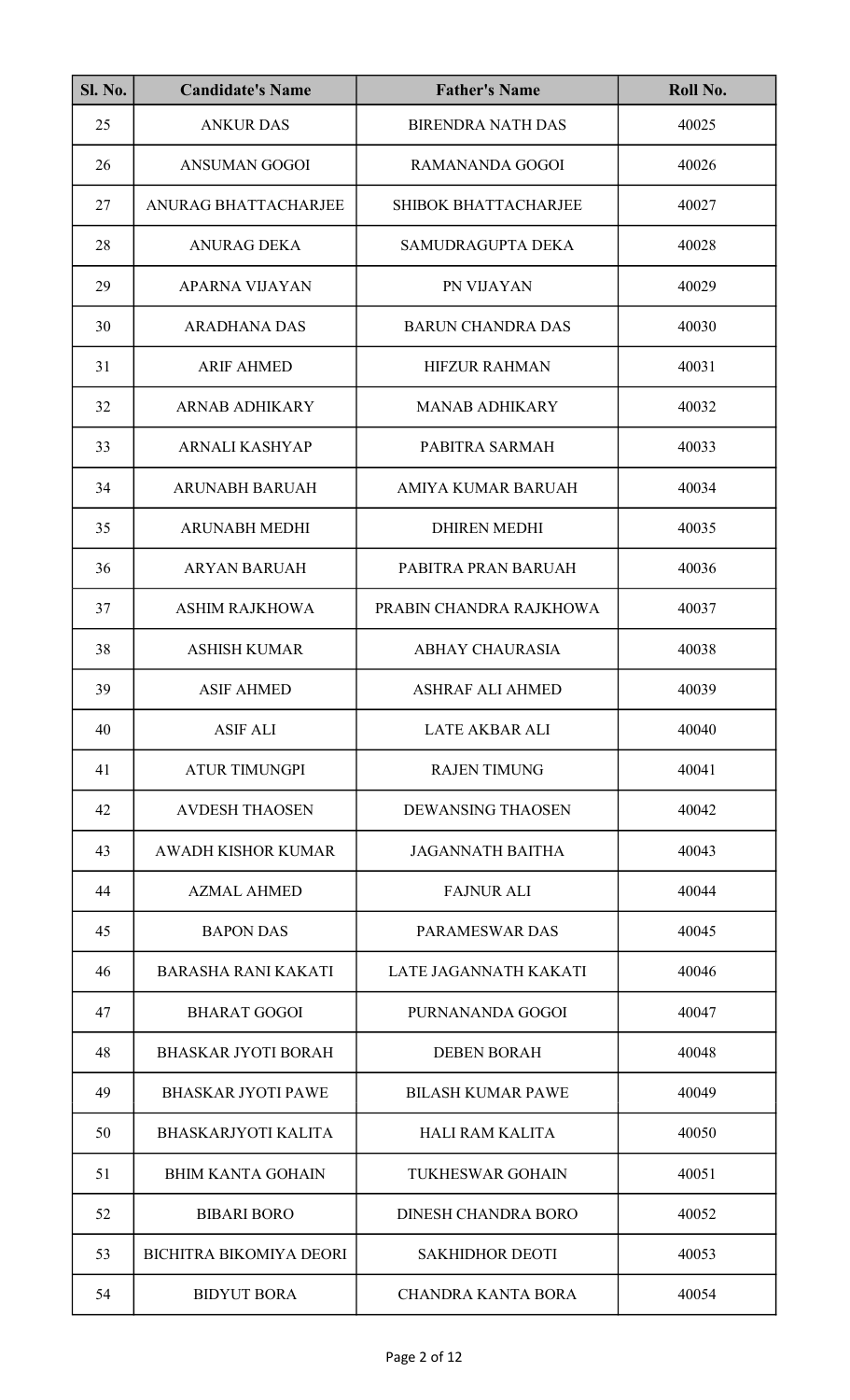| <b>Sl. No.</b> | <b>Candidate's Name</b>        | <b>Father's Name</b>        | Roll No. |
|----------------|--------------------------------|-----------------------------|----------|
| 25             | <b>ANKUR DAS</b>               | <b>BIRENDRA NATH DAS</b>    | 40025    |
| 26             | <b>ANSUMAN GOGOI</b>           | <b>RAMANANDA GOGOI</b>      | 40026    |
| 27             | ANURAG BHATTACHARJEE           | <b>SHIBOK BHATTACHARJEE</b> | 40027    |
| 28             | <b>ANURAG DEKA</b>             | SAMUDRAGUPTA DEKA           | 40028    |
| 29             | APARNA VIJAYAN                 | PN VIJAYAN                  | 40029    |
| 30             | <b>ARADHANA DAS</b>            | <b>BARUN CHANDRA DAS</b>    | 40030    |
| 31             | <b>ARIF AHMED</b>              | <b>HIFZUR RAHMAN</b>        | 40031    |
| 32             | <b>ARNAB ADHIKARY</b>          | <b>MANAB ADHIKARY</b>       | 40032    |
| 33             | ARNALI KASHYAP                 | PABITRA SARMAH              | 40033    |
| 34             | <b>ARUNABH BARUAH</b>          | AMIYA KUMAR BARUAH          | 40034    |
| 35             | <b>ARUNABH MEDHI</b>           | <b>DHIREN MEDHI</b>         | 40035    |
| 36             | ARYAN BARUAH                   | PABITRA PRAN BARUAH         | 40036    |
| 37             | <b>ASHIM RAJKHOWA</b>          | PRABIN CHANDRA RAJKHOWA     | 40037    |
| 38             | <b>ASHISH KUMAR</b>            | <b>ABHAY CHAURASIA</b>      | 40038    |
| 39             | <b>ASIF AHMED</b>              | ASHRAF ALI AHMED            | 40039    |
| 40             | <b>ASIF ALI</b>                | <b>LATE AKBAR ALI</b>       | 40040    |
| 41             | <b>ATUR TIMUNGPI</b>           | <b>RAJEN TIMUNG</b>         | 40041    |
| 42             | <b>AVDESH THAOSEN</b>          | <b>DEWANSING THAOSEN</b>    | 40042    |
| 43             | <b>AWADH KISHOR KUMAR</b>      | <b>JAGANNATH BAITHA</b>     | 40043    |
| 44             | <b>AZMAL AHMED</b>             | <b>FAJNUR ALI</b>           | 40044    |
| 45             | <b>BAPON DAS</b>               | <b>PARAMESWAR DAS</b>       | 40045    |
| 46             | <b>BARASHA RANI KAKATI</b>     | LATE JAGANNATH KAKATI       | 40046    |
| 47             | <b>BHARAT GOGOI</b>            | PURNANANDA GOGOI            | 40047    |
| 48             | <b>BHASKAR JYOTI BORAH</b>     | <b>DEBEN BORAH</b>          | 40048    |
| 49             | <b>BHASKAR JYOTI PAWE</b>      | <b>BILASH KUMAR PAWE</b>    | 40049    |
| 50             | <b>BHASKARJYOTI KALITA</b>     | <b>HALI RAM KALITA</b>      | 40050    |
| 51             | <b>BHIM KANTA GOHAIN</b>       | <b>TUKHESWAR GOHAIN</b>     | 40051    |
| 52             | <b>BIBARI BORO</b>             | <b>DINESH CHANDRA BORO</b>  | 40052    |
| 53             | <b>BICHITRA BIKOMIYA DEORI</b> | <b>SAKHIDHOR DEOTI</b>      | 40053    |
| 54             | <b>BIDYUT BORA</b>             | <b>CHANDRA KANTA BORA</b>   | 40054    |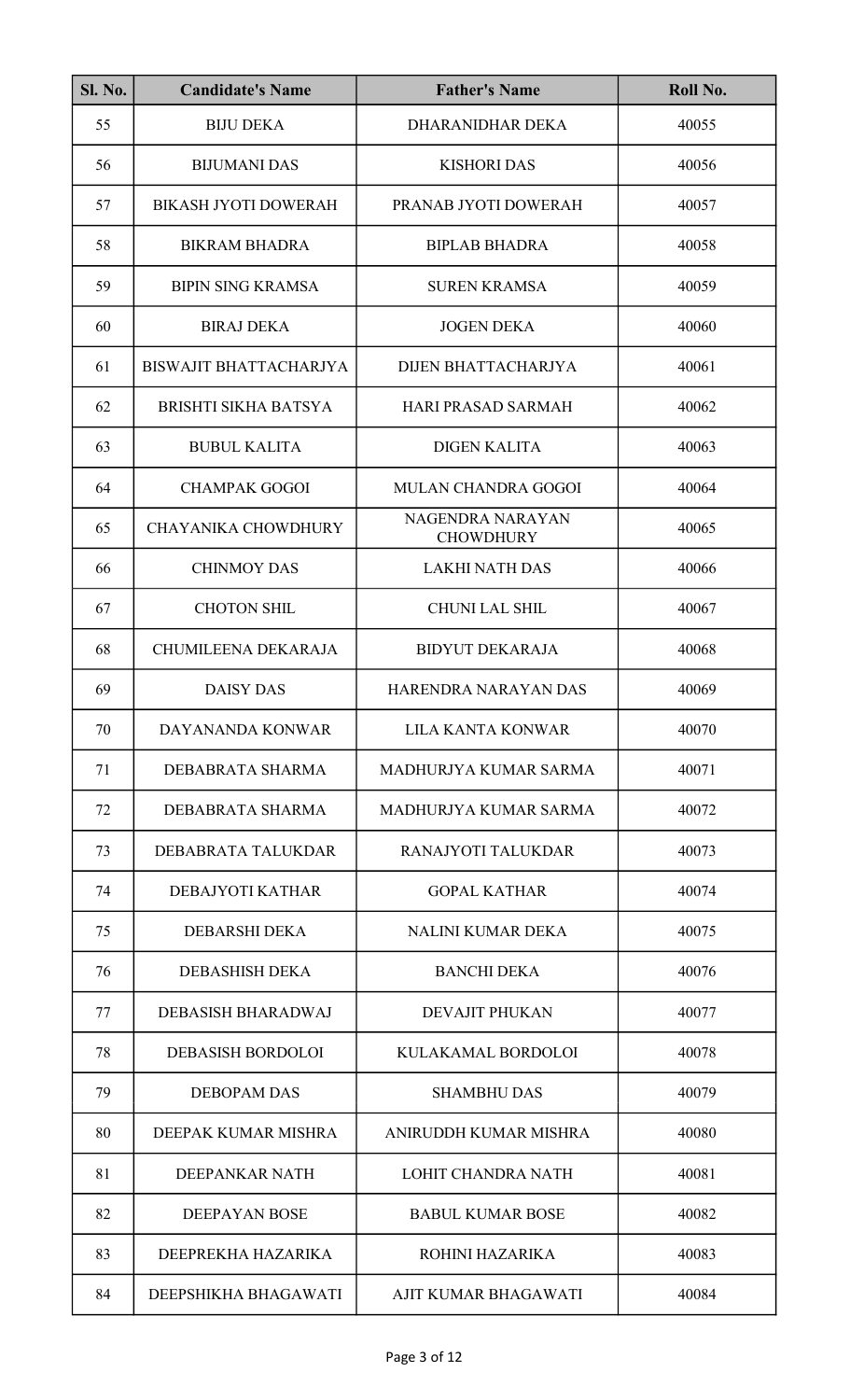| <b>Sl. No.</b> | <b>Candidate's Name</b>       | <b>Father's Name</b>                 | Roll No. |
|----------------|-------------------------------|--------------------------------------|----------|
| 55             | <b>BIJU DEKA</b>              | DHARANIDHAR DEKA                     | 40055    |
| 56             | <b>BIJUMANI DAS</b>           | <b>KISHORI DAS</b>                   | 40056    |
| 57             | <b>BIKASH JYOTI DOWERAH</b>   | PRANAB JYOTI DOWERAH                 | 40057    |
| 58             | <b>BIKRAM BHADRA</b>          | <b>BIPLAB BHADRA</b>                 | 40058    |
| 59             | <b>BIPIN SING KRAMSA</b>      | <b>SUREN KRAMSA</b>                  | 40059    |
| 60             | <b>BIRAJ DEKA</b>             | <b>JOGEN DEKA</b>                    | 40060    |
| 61             | <b>BISWAJIT BHATTACHARJYA</b> | DIJEN BHATTACHARJYA                  | 40061    |
| 62             | <b>BRISHTI SIKHA BATSYA</b>   | <b>HARI PRASAD SARMAH</b>            | 40062    |
| 63             | <b>BUBUL KALITA</b>           | <b>DIGEN KALITA</b>                  | 40063    |
| 64             | <b>CHAMPAK GOGOI</b>          | MULAN CHANDRA GOGOI                  | 40064    |
| 65             | <b>CHAYANIKA CHOWDHURY</b>    | NAGENDRA NARAYAN<br><b>CHOWDHURY</b> | 40065    |
| 66             | <b>CHINMOY DAS</b>            | <b>LAKHI NATH DAS</b>                | 40066    |
| 67             | <b>CHOTON SHIL</b>            | <b>CHUNI LAL SHIL</b>                | 40067    |
| 68             | CHUMILEENA DEKARAJA           | <b>BIDYUT DEKARAJA</b>               | 40068    |
| 69             | <b>DAISY DAS</b>              | HARENDRA NARAYAN DAS                 | 40069    |
| 70             | DAYANANDA KONWAR              | <b>LILA KANTA KONWAR</b>             | 40070    |
| 71             | DEBABRATA SHARMA              | MADHURJYA KUMAR SARMA                | 40071    |
| 72             | DEBABRATA SHARMA              | MADHURJYA KUMAR SARMA                | 40072    |
| 73             | DEBABRATA TALUKDAR            | RANAJYOTI TALUKDAR                   | 40073    |
| 74             | DEBAJYOTI KATHAR              | <b>GOPAL KATHAR</b>                  | 40074    |
| 75             | <b>DEBARSHI DEKA</b>          | <b>NALINI KUMAR DEKA</b>             | 40075    |
| 76             | DEBASHISH DEKA                | <b>BANCHI DEKA</b>                   | 40076    |
| 77             | <b>DEBASISH BHARADWAJ</b>     | <b>DEVAJIT PHUKAN</b>                | 40077    |
| 78             | <b>DEBASISH BORDOLOI</b>      | KULAKAMAL BORDOLOI                   | 40078    |
| 79             | <b>DEBOPAM DAS</b>            | <b>SHAMBHU DAS</b>                   | 40079    |
| 80             | DEEPAK KUMAR MISHRA           | ANIRUDDH KUMAR MISHRA                | 40080    |
| 81             | DEEPANKAR NATH                | <b>LOHIT CHANDRA NATH</b>            | 40081    |
| 82             | <b>DEEPAYAN BOSE</b>          | <b>BABUL KUMAR BOSE</b>              | 40082    |
| 83             | DEEPREKHA HAZARIKA            | ROHINI HAZARIKA                      | 40083    |
| 84             | DEEPSHIKHA BHAGAWATI          | AJIT KUMAR BHAGAWATI                 | 40084    |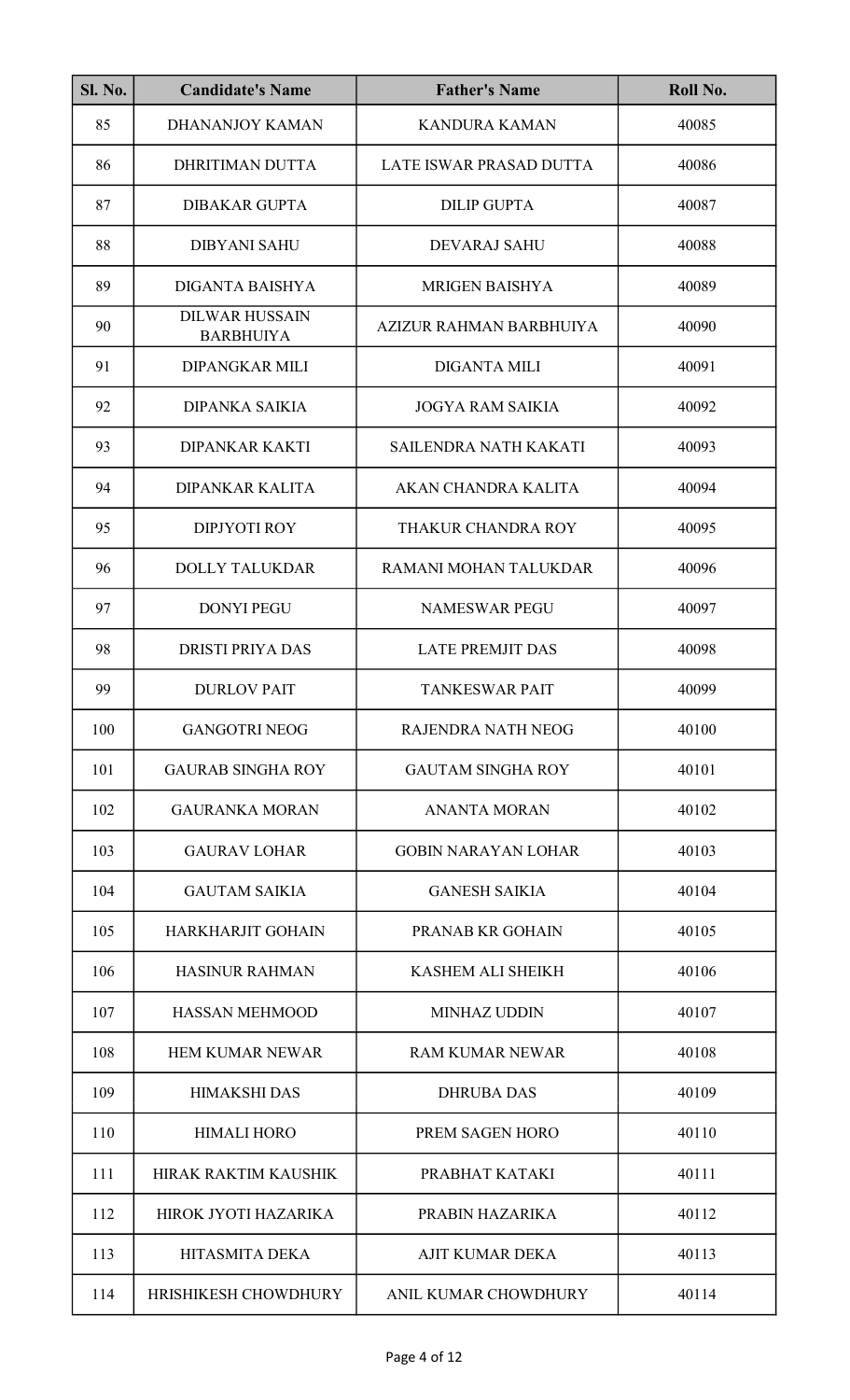| <b>Sl. No.</b> | <b>Candidate's Name</b>                   | <b>Father's Name</b>       | Roll No. |
|----------------|-------------------------------------------|----------------------------|----------|
| 85             | <b>DHANANJOY KAMAN</b>                    | <b>KANDURA KAMAN</b>       | 40085    |
| 86             | DHRITIMAN DUTTA                           | LATE ISWAR PRASAD DUTTA    | 40086    |
| 87             | <b>DIBAKAR GUPTA</b>                      | <b>DILIP GUPTA</b>         | 40087    |
| 88             | <b>DIBYANI SAHU</b>                       | DEVARAJ SAHU               | 40088    |
| 89             | DIGANTA BAISHYA                           | <b>MRIGEN BAISHYA</b>      | 40089    |
| 90             | <b>DILWAR HUSSAIN</b><br><b>BARBHUIYA</b> | AZIZUR RAHMAN BARBHUIYA    | 40090    |
| 91             | <b>DIPANGKAR MILI</b>                     | <b>DIGANTA MILI</b>        | 40091    |
| 92             | <b>DIPANKA SAIKIA</b>                     | <b>JOGYA RAM SAIKIA</b>    | 40092    |
| 93             | <b>DIPANKAR KAKTI</b>                     | SAILENDRA NATH KAKATI      | 40093    |
| 94             | <b>DIPANKAR KALITA</b>                    | AKAN CHANDRA KALITA        | 40094    |
| 95             | <b>DIPJYOTI ROY</b>                       | THAKUR CHANDRA ROY         | 40095    |
| 96             | <b>DOLLY TALUKDAR</b>                     | RAMANI MOHAN TALUKDAR      | 40096    |
| 97             | <b>DONYI PEGU</b>                         | <b>NAMESWAR PEGU</b>       | 40097    |
| 98             | <b>DRISTI PRIYA DAS</b>                   | <b>LATE PREMJIT DAS</b>    | 40098    |
| 99             | <b>DURLOV PAIT</b>                        | <b>TANKESWAR PAIT</b>      | 40099    |
| 100            | <b>GANGOTRI NEOG</b>                      | <b>RAJENDRA NATH NEOG</b>  | 40100    |
| 101            | <b>GAURAB SINGHA ROY</b>                  | <b>GAUTAM SINGHA ROY</b>   | 40101    |
| 102            | <b>GAURANKA MORAN</b>                     | <b>ANANTA MORAN</b>        | 40102    |
| 103            | <b>GAURAV LOHAR</b>                       | <b>GOBIN NARAYAN LOHAR</b> | 40103    |
| 104            | <b>GAUTAM SAIKIA</b>                      | <b>GANESH SAIKIA</b>       | 40104    |
| 105            | <b>HARKHARJIT GOHAIN</b>                  | <b>PRANAB KR GOHAIN</b>    | 40105    |
| 106            | <b>HASINUR RAHMAN</b>                     | KASHEM ALI SHEIKH          | 40106    |
| 107            | <b>HASSAN MEHMOOD</b>                     | <b>MINHAZ UDDIN</b>        | 40107    |
| 108            | <b>HEM KUMAR NEWAR</b>                    | <b>RAM KUMAR NEWAR</b>     | 40108    |
| 109            | <b>HIMAKSHI DAS</b>                       | <b>DHRUBA DAS</b>          | 40109    |
| 110            | <b>HIMALI HORO</b>                        | PREM SAGEN HORO            | 40110    |
| 111            | HIRAK RAKTIM KAUSHIK                      | PRABHAT KATAKI             | 40111    |
| 112            | HIROK JYOTI HAZARIKA                      | PRABIN HAZARIKA            | 40112    |
| 113            | HITASMITA DEKA                            | <b>AJIT KUMAR DEKA</b>     | 40113    |
| 114            | HRISHIKESH CHOWDHURY                      | ANIL KUMAR CHOWDHURY       | 40114    |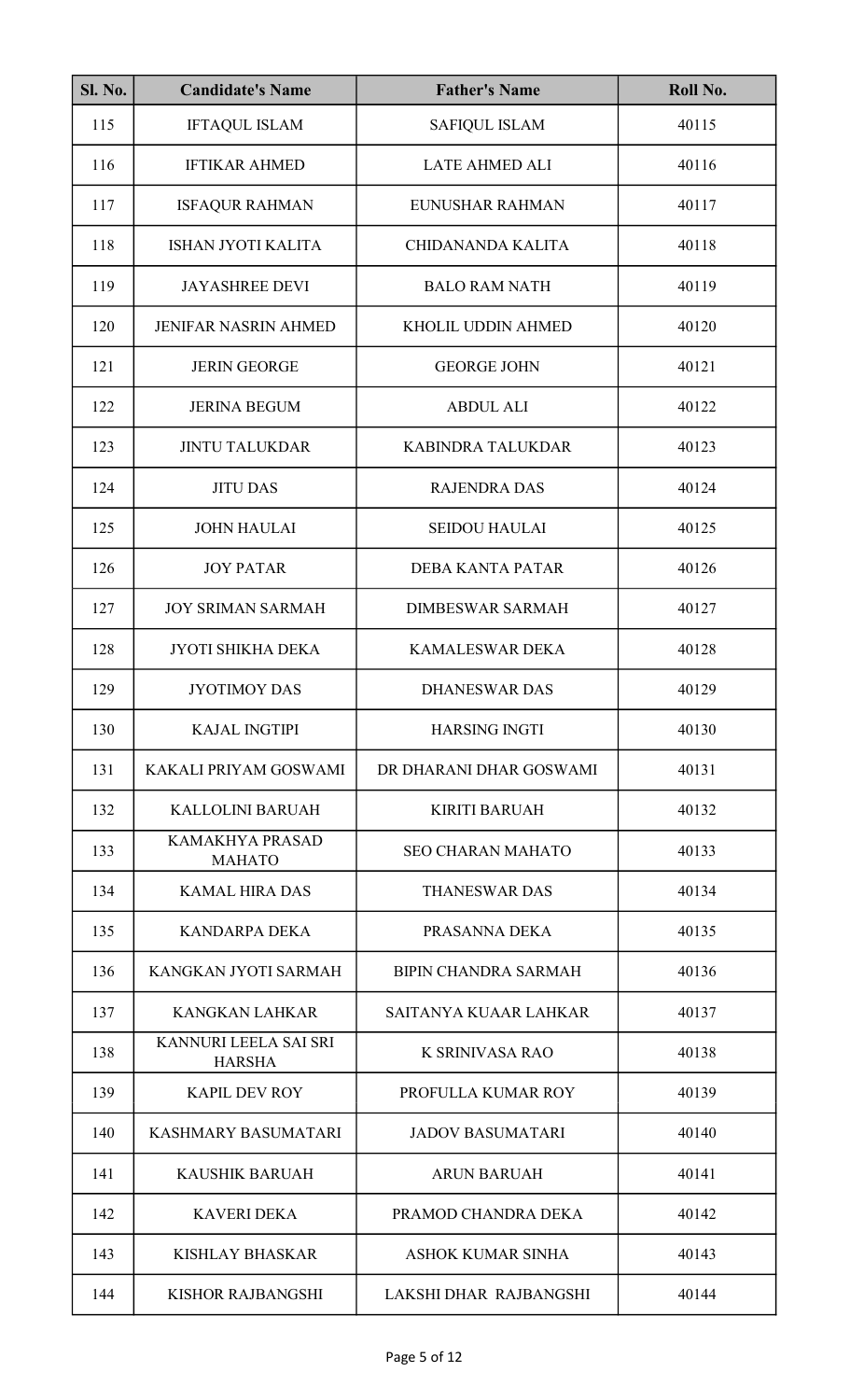| <b>Sl. No.</b> | <b>Candidate's Name</b>                 | <b>Father's Name</b>        | Roll No. |
|----------------|-----------------------------------------|-----------------------------|----------|
| 115            | <b>IFTAQUL ISLAM</b>                    | <b>SAFIQUL ISLAM</b>        | 40115    |
| 116            | <b>IFTIKAR AHMED</b>                    | <b>LATE AHMED ALI</b>       | 40116    |
| 117            | <b>ISFAQUR RAHMAN</b>                   | EUNUSHAR RAHMAN             | 40117    |
| 118            | ISHAN JYOTI KALITA                      | <b>CHIDANANDA KALITA</b>    | 40118    |
| 119            | <b>JAYASHREE DEVI</b>                   | <b>BALO RAM NATH</b>        | 40119    |
| 120            | <b>JENIFAR NASRIN AHMED</b>             | KHOLIL UDDIN AHMED          | 40120    |
| 121            | <b>JERIN GEORGE</b>                     | <b>GEORGE JOHN</b>          | 40121    |
| 122            | <b>JERINA BEGUM</b>                     | <b>ABDUL ALI</b>            | 40122    |
| 123            | <b>JINTU TALUKDAR</b>                   | KABINDRA TALUKDAR           | 40123    |
| 124            | <b>JITU DAS</b>                         | <b>RAJENDRA DAS</b>         | 40124    |
| 125            | <b>JOHN HAULAI</b>                      | <b>SEIDOU HAULAI</b>        | 40125    |
| 126            | <b>JOY PATAR</b>                        | <b>DEBA KANTA PATAR</b>     | 40126    |
| 127            | <b>JOY SRIMAN SARMAH</b>                | <b>DIMBESWAR SARMAH</b>     | 40127    |
| 128            | JYOTI SHIKHA DEKA                       | <b>KAMALESWAR DEKA</b>      | 40128    |
| 129            | JYOTIMOY DAS                            | DHANESWAR DAS               | 40129    |
| 130            | <b>KAJAL INGTIPI</b>                    | <b>HARSING INGTI</b>        | 40130    |
| 131            | KAKALI PRIYAM GOSWAMI                   | DR DHARANI DHAR GOSWAMI     | 40131    |
| 132            | KALLOLINI BARUAH                        | <b>KIRITI BARUAH</b>        | 40132    |
| 133            | <b>KAMAKHYA PRASAD</b><br><b>MAHATO</b> | <b>SEO CHARAN MAHATO</b>    | 40133    |
| 134            | <b>KAMAL HIRA DAS</b>                   | <b>THANESWAR DAS</b>        | 40134    |
| 135            | <b>KANDARPA DEKA</b>                    | PRASANNA DEKA               | 40135    |
| 136            | KANGKAN JYOTI SARMAH                    | <b>BIPIN CHANDRA SARMAH</b> | 40136    |
| 137            | <b>KANGKAN LAHKAR</b>                   | SAITANYA KUAAR LAHKAR       | 40137    |
| 138            | KANNURI LEELA SAI SRI<br><b>HARSHA</b>  | K SRINIVASA RAO             | 40138    |
| 139            | <b>KAPIL DEV ROY</b>                    | PROFULLA KUMAR ROY          | 40139    |
| 140            | KASHMARY BASUMATARI                     | <b>JADOV BASUMATARI</b>     | 40140    |
| 141            | <b>KAUSHIK BARUAH</b>                   | <b>ARUN BARUAH</b>          | 40141    |
| 142            | <b>KAVERI DEKA</b>                      | PRAMOD CHANDRA DEKA         | 40142    |
| 143            | <b>KISHLAY BHASKAR</b>                  | <b>ASHOK KUMAR SINHA</b>    | 40143    |
| 144            | <b>KISHOR RAJBANGSHI</b>                | LAKSHI DHAR RAJBANGSHI      | 40144    |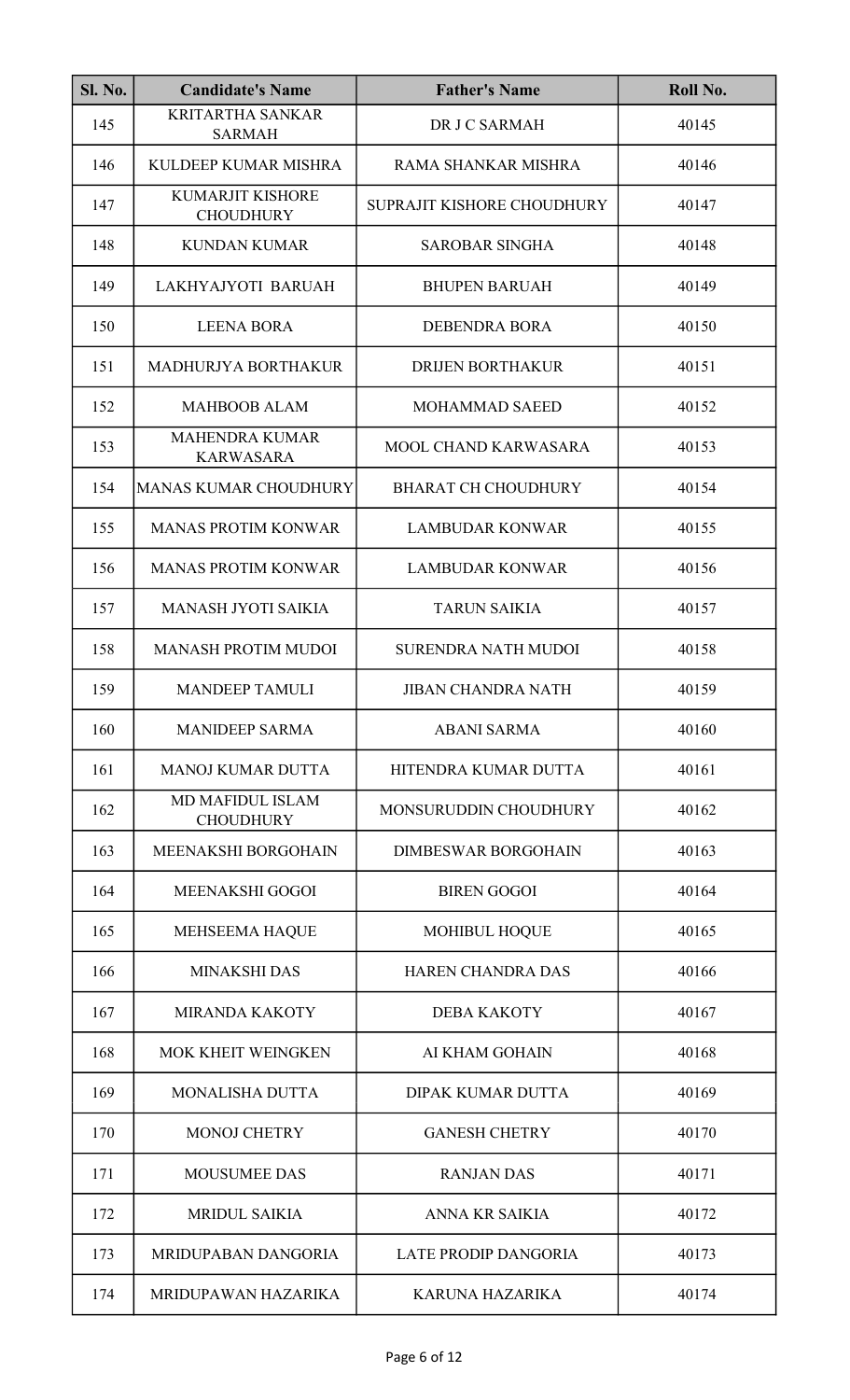| <b>Sl. No.</b> | <b>Candidate's Name</b>                     | <b>Father's Name</b>        | Roll No. |
|----------------|---------------------------------------------|-----------------------------|----------|
| 145            | <b>KRITARTHA SANKAR</b><br><b>SARMAH</b>    | DR J C SARMAH               | 40145    |
| 146            | KULDEEP KUMAR MISHRA                        | RAMA SHANKAR MISHRA         | 40146    |
| 147            | <b>KUMARJIT KISHORE</b><br><b>CHOUDHURY</b> | SUPRAJIT KISHORE CHOUDHURY  | 40147    |
| 148            | <b>KUNDAN KUMAR</b>                         | <b>SAROBAR SINGHA</b>       | 40148    |
| 149            | LAKHYAJYOTI BARUAH                          | <b>BHUPEN BARUAH</b>        | 40149    |
| 150            | <b>LEENA BORA</b>                           | <b>DEBENDRA BORA</b>        | 40150    |
| 151            | MADHURJYA BORTHAKUR                         | <b>DRIJEN BORTHAKUR</b>     | 40151    |
| 152            | <b>MAHBOOB ALAM</b>                         | <b>MOHAMMAD SAEED</b>       | 40152    |
| 153            | <b>MAHENDRA KUMAR</b><br><b>KARWASARA</b>   | <b>MOOL CHAND KARWASARA</b> | 40153    |
| 154            | <b>MANAS KUMAR CHOUDHURY</b>                | <b>BHARAT CH CHOUDHURY</b>  | 40154    |
| 155            | <b>MANAS PROTIM KONWAR</b>                  | <b>LAMBUDAR KONWAR</b>      | 40155    |
| 156            | <b>MANAS PROTIM KONWAR</b>                  | <b>LAMBUDAR KONWAR</b>      | 40156    |
| 157            | <b>MANASH JYOTI SAIKIA</b>                  | <b>TARUN SAIKIA</b>         | 40157    |
| 158            | <b>MANASH PROTIM MUDOI</b>                  | <b>SURENDRA NATH MUDOI</b>  | 40158    |
| 159            | <b>MANDEEP TAMULI</b>                       | <b>JIBAN CHANDRA NATH</b>   | 40159    |
| 160            | <b>MANIDEEP SARMA</b>                       | <b>ABANI SARMA</b>          | 40160    |
| 161            | <b>MANOJ KUMAR DUTTA</b>                    | HITENDRA KUMAR DUTTA        | 40161    |
| 162            | <b>MD MAFIDUL ISLAM</b><br><b>CHOUDHURY</b> | MONSURUDDIN CHOUDHURY       | 40162    |
| 163            | MEENAKSHI BORGOHAIN                         | <b>DIMBESWAR BORGOHAIN</b>  | 40163    |
| 164            | <b>MEENAKSHI GOGOI</b>                      | <b>BIREN GOGOI</b>          | 40164    |
| 165            | <b>MEHSEEMA HAQUE</b>                       | <b>MOHIBUL HOQUE</b>        | 40165    |
| 166            | <b>MINAKSHI DAS</b>                         | <b>HAREN CHANDRA DAS</b>    | 40166    |
| 167            | <b>MIRANDA KAKOTY</b>                       | <b>DEBA KAKOTY</b>          | 40167    |
| 168            | <b>MOK KHEIT WEINGKEN</b>                   | AI KHAM GOHAIN              | 40168    |
| 169            | <b>MONALISHA DUTTA</b>                      | <b>DIPAK KUMAR DUTTA</b>    | 40169    |
| 170            | <b>MONOJ CHETRY</b>                         | <b>GANESH CHETRY</b>        | 40170    |
| 171            | <b>MOUSUMEE DAS</b>                         | <b>RANJAN DAS</b>           | 40171    |
| 172            | <b>MRIDUL SAIKIA</b>                        | ANNA KR SAIKIA              | 40172    |
| 173            | MRIDUPABAN DANGORIA                         | <b>LATE PRODIP DANGORIA</b> | 40173    |
| 174            | MRIDUPAWAN HAZARIKA                         | <b>KARUNA HAZARIKA</b>      | 40174    |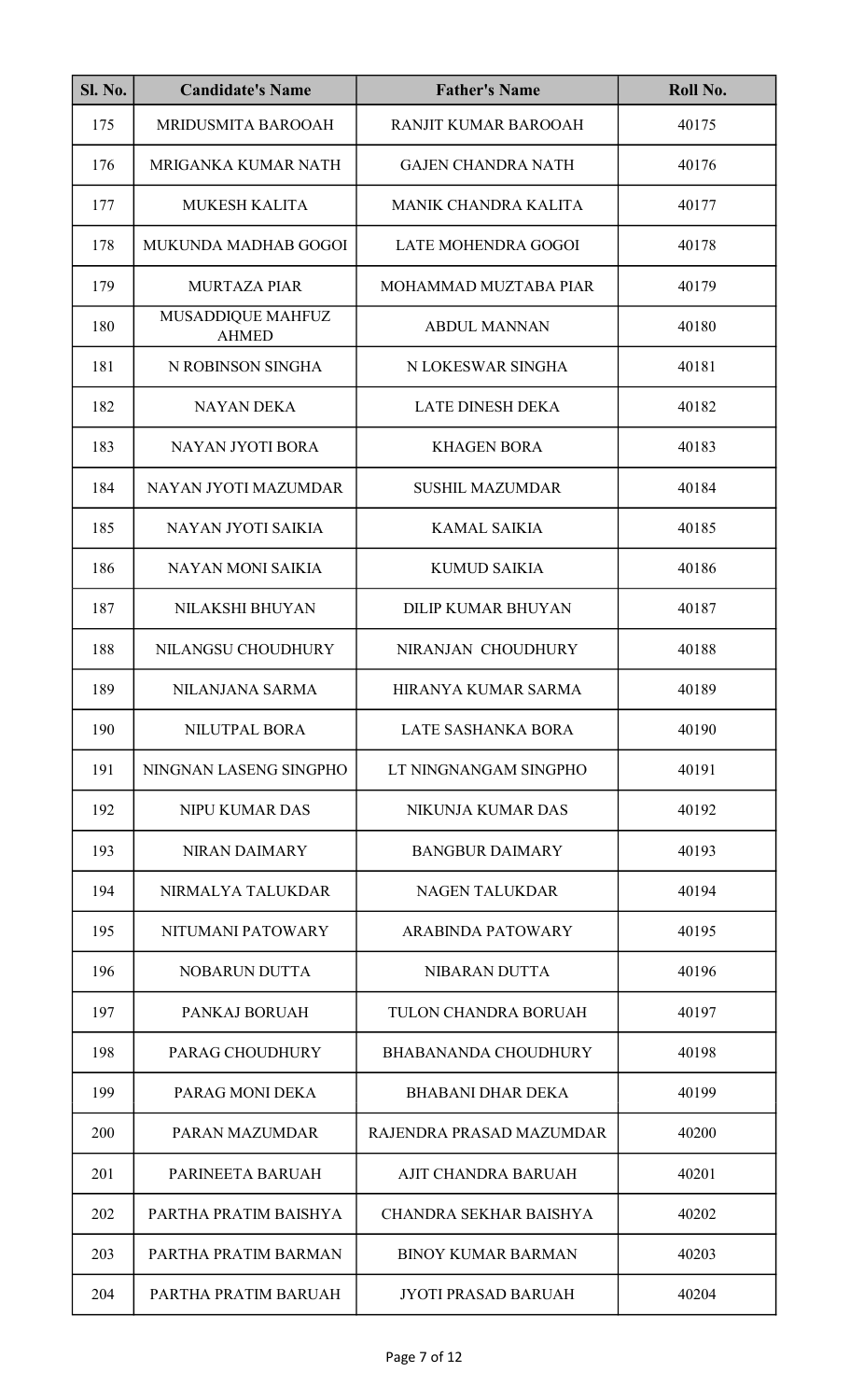| <b>Sl. No.</b> | <b>Candidate's Name</b>           | <b>Father's Name</b>        | Roll No. |
|----------------|-----------------------------------|-----------------------------|----------|
| 175            | MRIDUSMITA BAROOAH                | RANJIT KUMAR BAROOAH        | 40175    |
| 176            | MRIGANKA KUMAR NATH               | <b>GAJEN CHANDRA NATH</b>   | 40176    |
| 177            | <b>MUKESH KALITA</b>              | <b>MANIK CHANDRA KALITA</b> | 40177    |
| 178            | MUKUNDA MADHAB GOGOI              | LATE MOHENDRA GOGOI         | 40178    |
| 179            | <b>MURTAZA PIAR</b>               | MOHAMMAD MUZTABA PIAR       | 40179    |
| 180            | MUSADDIQUE MAHFUZ<br><b>AHMED</b> | <b>ABDUL MANNAN</b>         | 40180    |
| 181            | N ROBINSON SINGHA                 | N LOKESWAR SINGHA           | 40181    |
| 182            | <b>NAYAN DEKA</b>                 | <b>LATE DINESH DEKA</b>     | 40182    |
| 183            | NAYAN JYOTI BORA                  | <b>KHAGEN BORA</b>          | 40183    |
| 184            | NAYAN JYOTI MAZUMDAR              | <b>SUSHIL MAZUMDAR</b>      | 40184    |
| 185            | NAYAN JYOTI SAIKIA                | <b>KAMAL SAIKIA</b>         | 40185    |
| 186            | <b>NAYAN MONI SAIKIA</b>          | <b>KUMUD SAIKIA</b>         | 40186    |
| 187            | NILAKSHI BHUYAN                   | <b>DILIP KUMAR BHUYAN</b>   | 40187    |
| 188            | NILANGSU CHOUDHURY                | NIRANJAN CHOUDHURY          | 40188    |
| 189            | NILANJANA SARMA                   | HIRANYA KUMAR SARMA         | 40189    |
| 190            | <b>NILUTPAL BORA</b>              | LATE SASHANKA BORA          | 40190    |
| 191            | NINGNAN LASENG SINGPHO            | LT NINGNANGAM SINGPHO       | 40191    |
| 192            | NIPU KUMAR DAS                    | NIKUNJA KUMAR DAS           | 40192    |
| 193            | <b>NIRAN DAIMARY</b>              | <b>BANGBUR DAIMARY</b>      | 40193    |
| 194            | NIRMALYA TALUKDAR                 | <b>NAGEN TALUKDAR</b>       | 40194    |
| 195            | NITUMANI PATOWARY                 | <b>ARABINDA PATOWARY</b>    | 40195    |
| 196            | <b>NOBARUN DUTTA</b>              | NIBARAN DUTTA               | 40196    |
| 197            | PANKAJ BORUAH                     | TULON CHANDRA BORUAH        | 40197    |
| 198            | PARAG CHOUDHURY                   | <b>BHABANANDA CHOUDHURY</b> | 40198    |
| 199            | PARAG MONI DEKA                   | <b>BHABANI DHAR DEKA</b>    | 40199    |
| 200            | PARAN MAZUMDAR                    | RAJENDRA PRASAD MAZUMDAR    | 40200    |
| 201            | PARINEETA BARUAH                  | AJIT CHANDRA BARUAH         | 40201    |
| 202            | PARTHA PRATIM BAISHYA             | CHANDRA SEKHAR BAISHYA      | 40202    |
| 203            | PARTHA PRATIM BARMAN              | <b>BINOY KUMAR BARMAN</b>   | 40203    |
| 204            | PARTHA PRATIM BARUAH              | <b>JYOTI PRASAD BARUAH</b>  | 40204    |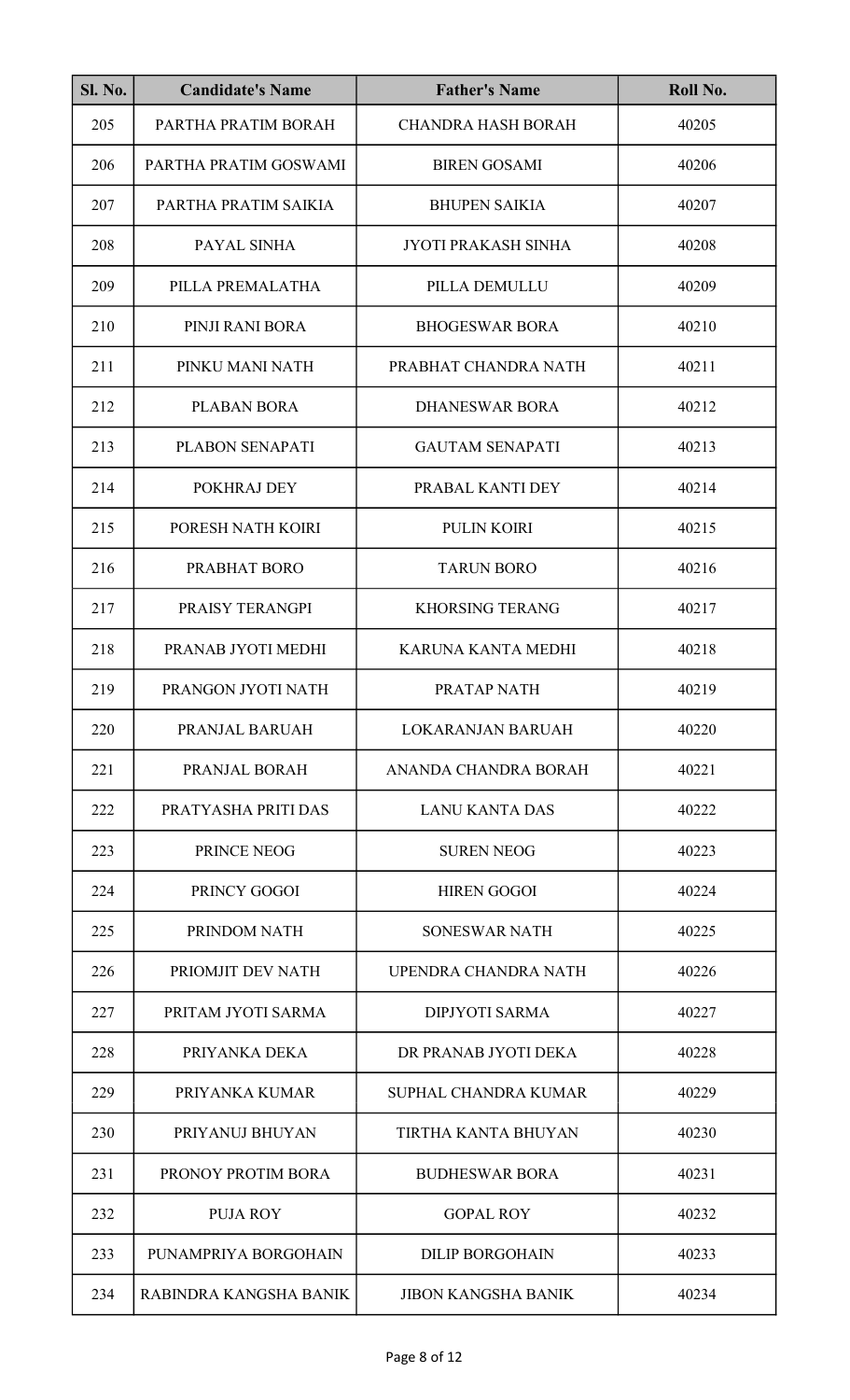| <b>Sl. No.</b> | <b>Candidate's Name</b> | <b>Father's Name</b>        | Roll No. |
|----------------|-------------------------|-----------------------------|----------|
| 205            | PARTHA PRATIM BORAH     | <b>CHANDRA HASH BORAH</b>   | 40205    |
| 206            | PARTHA PRATIM GOSWAMI   | <b>BIREN GOSAMI</b>         | 40206    |
| 207            | PARTHA PRATIM SAIKIA    | <b>BHUPEN SAIKIA</b>        | 40207    |
| 208            | PAYAL SINHA             | <b>JYOTI PRAKASH SINHA</b>  | 40208    |
| 209            | PILLA PREMALATHA        | PILLA DEMULLU               | 40209    |
| 210            | PINJI RANI BORA         | <b>BHOGESWAR BORA</b>       | 40210    |
| 211            | PINKU MANI NATH         | PRABHAT CHANDRA NATH        | 40211    |
| 212            | PLABAN BORA             | <b>DHANESWAR BORA</b>       | 40212    |
| 213            | PLABON SENAPATI         | <b>GAUTAM SENAPATI</b>      | 40213    |
| 214            | POKHRAJ DEY             | PRABAL KANTI DEY            | 40214    |
| 215            | PORESH NATH KOIRI       | <b>PULIN KOIRI</b>          | 40215    |
| 216            | PRABHAT BORO            | <b>TARUN BORO</b>           | 40216    |
| 217            | PRAISY TERANGPI         | <b>KHORSING TERANG</b>      | 40217    |
| 218            | PRANAB JYOTI MEDHI      | KARUNA KANTA MEDHI          | 40218    |
| 219            | PRANGON JYOTI NATH      | PRATAP NATH                 | 40219    |
| 220            | PRANJAL BARUAH          | <b>LOKARANJAN BARUAH</b>    | 40220    |
| 221            | PRANJAL BORAH           | ANANDA CHANDRA BORAH        | 40221    |
| 222            | PRATYASHA PRITI DAS     | <b>LANU KANTA DAS</b>       | 40222    |
| 223            | PRINCE NEOG             | <b>SUREN NEOG</b>           | 40223    |
| 224            | PRINCY GOGOI            | <b>HIREN GOGOI</b>          | 40224    |
| 225            | PRINDOM NATH            | <b>SONESWAR NATH</b>        | 40225    |
| 226            | PRIOMJIT DEV NATH       | UPENDRA CHANDRA NATH        | 40226    |
| 227            | PRITAM JYOTI SARMA      | <b>DIPJYOTI SARMA</b>       | 40227    |
| 228            | PRIYANKA DEKA           | DR PRANAB JYOTI DEKA        | 40228    |
| 229            | PRIYANKA KUMAR          | <b>SUPHAL CHANDRA KUMAR</b> | 40229    |
| 230            | PRIYANUJ BHUYAN         | TIRTHA KANTA BHUYAN         | 40230    |
| 231            | PRONOY PROTIM BORA      | <b>BUDHESWAR BORA</b>       | 40231    |
| 232            | <b>PUJA ROY</b>         | <b>GOPAL ROY</b>            | 40232    |
| 233            | PUNAMPRIYA BORGOHAIN    | <b>DILIP BORGOHAIN</b>      | 40233    |
| 234            | RABINDRA KANGSHA BANIK  | <b>JIBON KANGSHA BANIK</b>  | 40234    |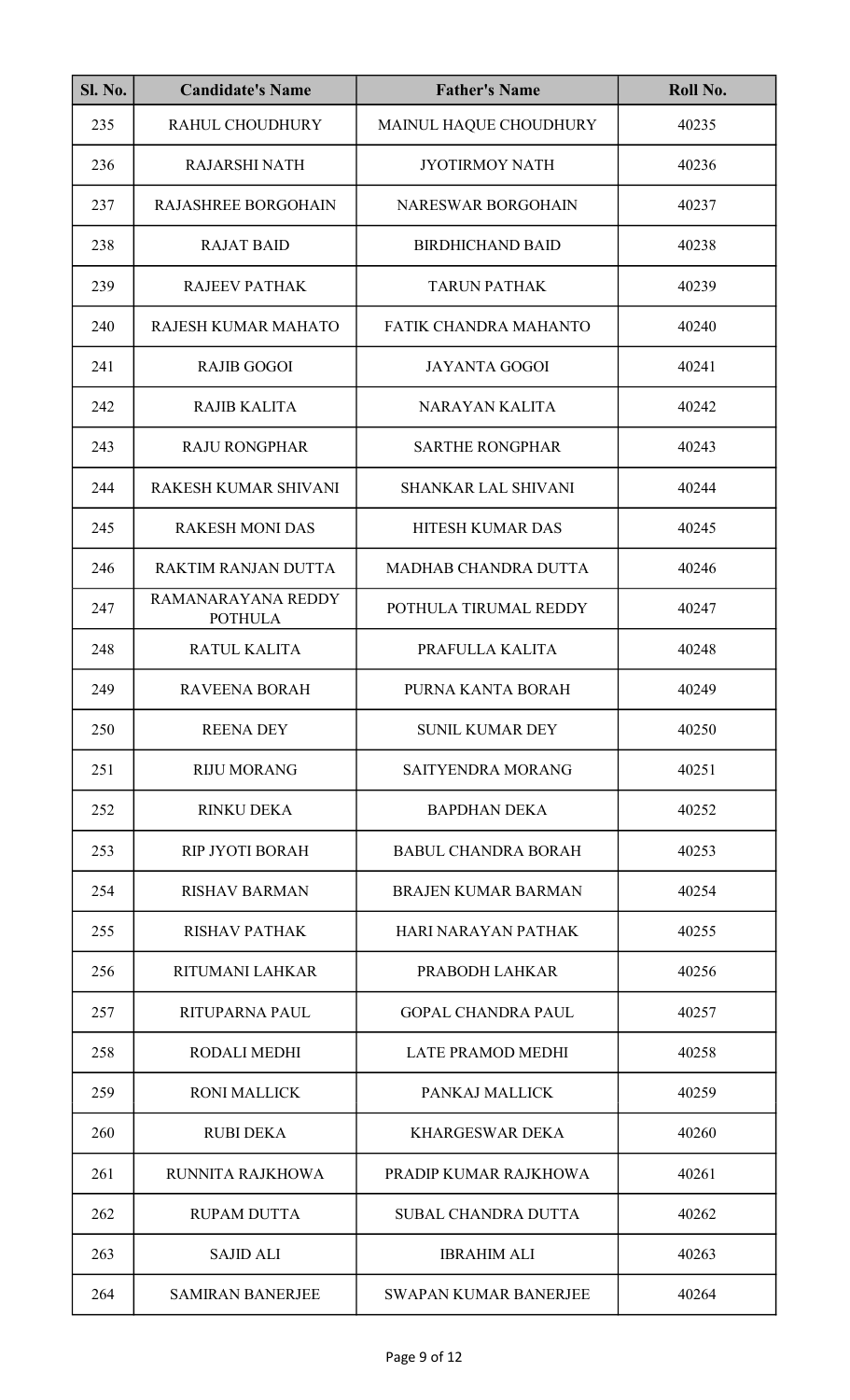| <b>Sl. No.</b> | <b>Candidate's Name</b>              | <b>Father's Name</b>         | Roll No. |
|----------------|--------------------------------------|------------------------------|----------|
| 235            | RAHUL CHOUDHURY                      | MAINUL HAQUE CHOUDHURY       | 40235    |
| 236            | <b>RAJARSHI NATH</b>                 | <b>JYOTIRMOY NATH</b>        | 40236    |
| 237            | <b>RAJASHREE BORGOHAIN</b>           | <b>NARESWAR BORGOHAIN</b>    | 40237    |
| 238            | <b>RAJAT BAID</b>                    | <b>BIRDHICHAND BAID</b>      | 40238    |
| 239            | <b>RAJEEV PATHAK</b>                 | <b>TARUN PATHAK</b>          | 40239    |
| 240            | RAJESH KUMAR MAHATO                  | <b>FATIK CHANDRA MAHANTO</b> | 40240    |
| 241            | <b>RAJIB GOGOI</b>                   | <b>JAYANTA GOGOI</b>         | 40241    |
| 242            | <b>RAJIB KALITA</b>                  | <b>NARAYAN KALITA</b>        | 40242    |
| 243            | <b>RAJU RONGPHAR</b>                 | <b>SARTHE RONGPHAR</b>       | 40243    |
| 244            | RAKESH KUMAR SHIVANI                 | <b>SHANKAR LAL SHIVANI</b>   | 40244    |
| 245            | <b>RAKESH MONI DAS</b>               | <b>HITESH KUMAR DAS</b>      | 40245    |
| 246            | RAKTIM RANJAN DUTTA                  | <b>MADHAB CHANDRA DUTTA</b>  | 40246    |
| 247            | RAMANARAYANA REDDY<br><b>POTHULA</b> | POTHULA TIRUMAL REDDY        | 40247    |
| 248            | RATUL KALITA                         | PRAFULLA KALITA              | 40248    |
| 249            | RAVEENA BORAH                        | PURNA KANTA BORAH            | 40249    |
| 250            | <b>REENA DEY</b>                     | <b>SUNIL KUMAR DEY</b>       | 40250    |
| 251            | <b>RIJU MORANG</b>                   | <b>SAITYENDRA MORANG</b>     | 40251    |
| 252            | <b>RINKU DEKA</b>                    | <b>BAPDHAN DEKA</b>          | 40252    |
| 253            | <b>RIP JYOTI BORAH</b>               | <b>BABUL CHANDRA BORAH</b>   | 40253    |
| 254            | <b>RISHAV BARMAN</b>                 | <b>BRAJEN KUMAR BARMAN</b>   | 40254    |
| 255            | <b>RISHAV PATHAK</b>                 | HARI NARAYAN PATHAK          | 40255    |
| 256            | <b>RITUMANI LAHKAR</b>               | PRABODH LAHKAR               | 40256    |
| 257            | <b>RITUPARNA PAUL</b>                | <b>GOPAL CHANDRA PAUL</b>    | 40257    |
| 258            | RODALI MEDHI                         | <b>LATE PRAMOD MEDHI</b>     | 40258    |
| 259            | <b>RONI MALLICK</b>                  | PANKAJ MALLICK               | 40259    |
| 260            | <b>RUBI DEKA</b>                     | <b>KHARGESWAR DEKA</b>       | 40260    |
| 261            | RUNNITA RAJKHOWA                     | PRADIP KUMAR RAJKHOWA        | 40261    |
| 262            | <b>RUPAM DUTTA</b>                   | <b>SUBAL CHANDRA DUTTA</b>   | 40262    |
| 263            | <b>SAJID ALI</b>                     | <b>IBRAHIM ALI</b>           | 40263    |
| 264            | <b>SAMIRAN BANERJEE</b>              | <b>SWAPAN KUMAR BANERJEE</b> | 40264    |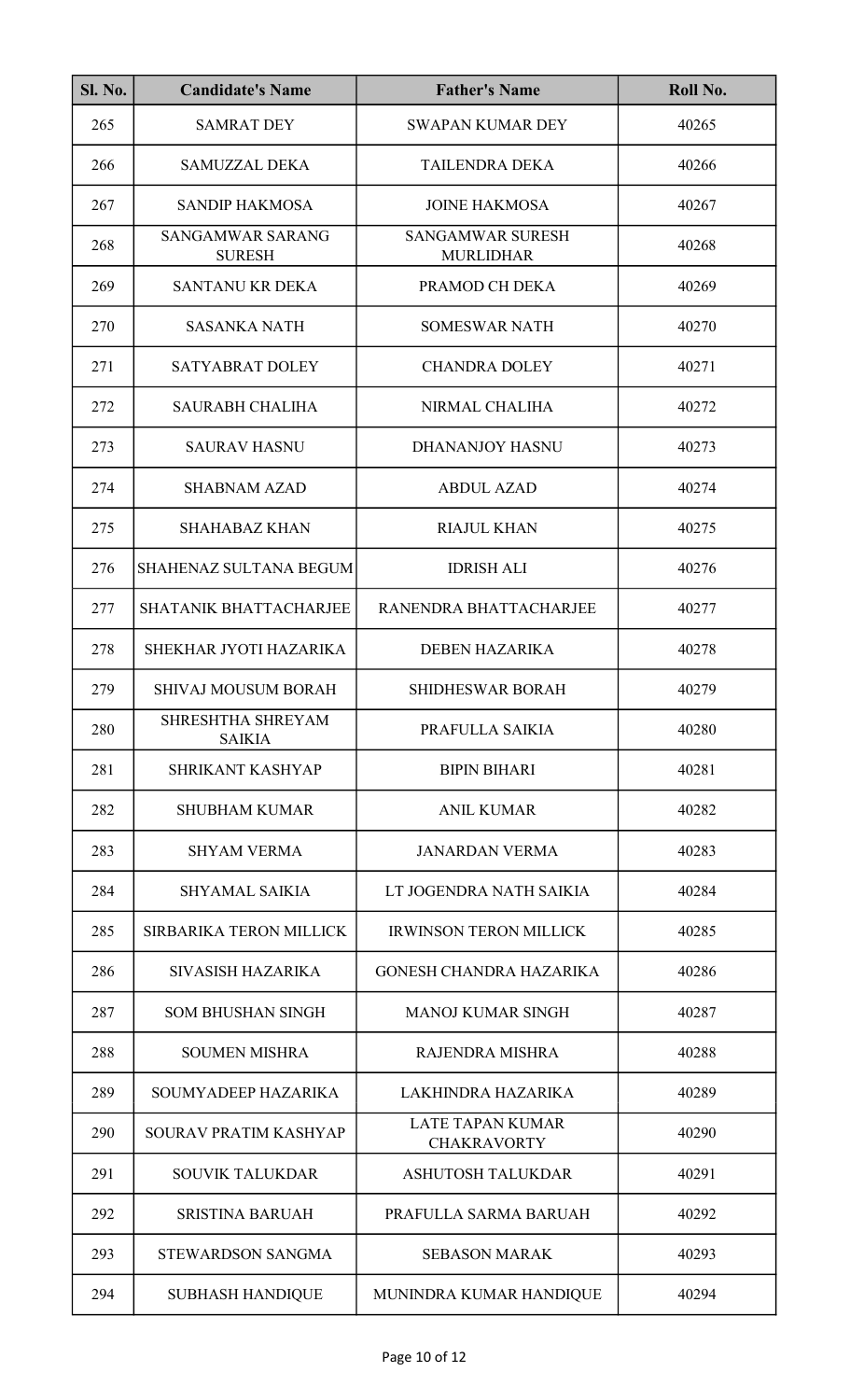| <b>Sl. No.</b> | <b>Candidate's Name</b>                  | <b>Father's Name</b>                          | Roll No. |
|----------------|------------------------------------------|-----------------------------------------------|----------|
| 265            | <b>SAMRAT DEY</b>                        | <b>SWAPAN KUMAR DEY</b>                       | 40265    |
| 266            | <b>SAMUZZAL DEKA</b>                     | <b>TAILENDRA DEKA</b>                         | 40266    |
| 267            | <b>SANDIP HAKMOSA</b>                    | <b>JOINE HAKMOSA</b>                          | 40267    |
| 268            | <b>SANGAMWAR SARANG</b><br><b>SURESH</b> | <b>SANGAMWAR SURESH</b><br><b>MURLIDHAR</b>   | 40268    |
| 269            | <b>SANTANU KR DEKA</b>                   | PRAMOD CH DEKA                                | 40269    |
| 270            | <b>SASANKA NATH</b>                      | <b>SOMESWAR NATH</b>                          | 40270    |
| 271            | <b>SATYABRAT DOLEY</b>                   | <b>CHANDRA DOLEY</b>                          | 40271    |
| 272            | <b>SAURABH CHALIHA</b>                   | NIRMAL CHALIHA                                | 40272    |
| 273            | <b>SAURAV HASNU</b>                      | <b>DHANANJOY HASNU</b>                        | 40273    |
| 274            | <b>SHABNAM AZAD</b>                      | <b>ABDUL AZAD</b>                             | 40274    |
| 275            | <b>SHAHABAZ KHAN</b>                     | <b>RIAJUL KHAN</b>                            | 40275    |
| 276            | SHAHENAZ SULTANA BEGUM                   | <b>IDRISH ALI</b>                             | 40276    |
| 277            | SHATANIK BHATTACHARJEE                   | RANENDRA BHATTACHARJEE                        | 40277    |
| 278            | SHEKHAR JYOTI HAZARIKA                   | <b>DEBEN HAZARIKA</b>                         | 40278    |
| 279            | <b>SHIVAJ MOUSUM BORAH</b>               | <b>SHIDHESWAR BORAH</b>                       | 40279    |
| 280            | SHRESHTHA SHREYAM<br><b>SAIKIA</b>       | PRAFULLA SAIKIA                               | 40280    |
| 281            | <b>SHRIKANT KASHYAP</b>                  | <b>BIPIN BIHARI</b>                           | 40281    |
| 282            | <b>SHUBHAM KUMAR</b>                     | ANIL KUMAR                                    | 40282    |
| 283            | <b>SHYAM VERMA</b>                       | <b>JANARDAN VERMA</b>                         | 40283    |
| 284            | <b>SHYAMAL SAIKIA</b>                    | LT JOGENDRA NATH SAIKIA                       | 40284    |
| 285            | SIRBARIKA TERON MILLICK                  | <b>IRWINSON TERON MILLICK</b>                 | 40285    |
| 286            | SIVASISH HAZARIKA                        | GONESH CHANDRA HAZARIKA                       | 40286    |
| 287            | <b>SOM BHUSHAN SINGH</b>                 | <b>MANOJ KUMAR SINGH</b>                      | 40287    |
| 288            | <b>SOUMEN MISHRA</b>                     | <b>RAJENDRA MISHRA</b>                        | 40288    |
| 289            | SOUMYADEEP HAZARIKA                      | LAKHINDRA HAZARIKA                            | 40289    |
| 290            | SOURAV PRATIM KASHYAP                    | <b>LATE TAPAN KUMAR</b><br><b>CHAKRAVORTY</b> | 40290    |
| 291            | <b>SOUVIK TALUKDAR</b>                   | <b>ASHUTOSH TALUKDAR</b>                      | 40291    |
| 292            | <b>SRISTINA BARUAH</b>                   | PRAFULLA SARMA BARUAH                         | 40292    |
| 293            | <b>STEWARDSON SANGMA</b>                 | <b>SEBASON MARAK</b>                          | 40293    |
| 294            | <b>SUBHASH HANDIQUE</b>                  | MUNINDRA KUMAR HANDIQUE                       | 40294    |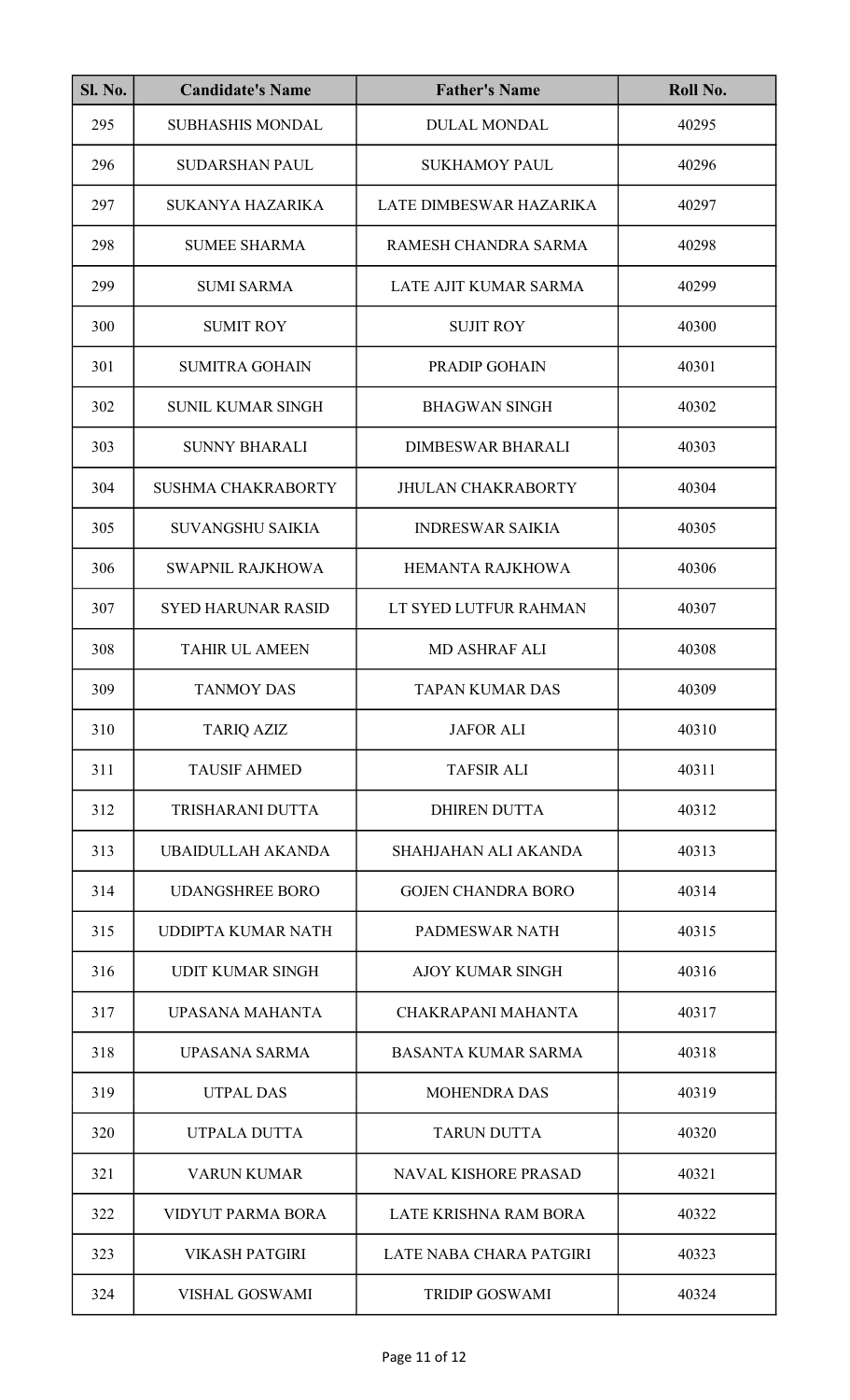| <b>Sl. No.</b> | <b>Candidate's Name</b>   | <b>Father's Name</b>        | Roll No. |
|----------------|---------------------------|-----------------------------|----------|
| 295            | <b>SUBHASHIS MONDAL</b>   | <b>DULAL MONDAL</b>         | 40295    |
| 296            | <b>SUDARSHAN PAUL</b>     | <b>SUKHAMOY PAUL</b>        | 40296    |
| 297            | <b>SUKANYA HAZARIKA</b>   | LATE DIMBESWAR HAZARIKA     | 40297    |
| 298            | <b>SUMEE SHARMA</b>       | RAMESH CHANDRA SARMA        | 40298    |
| 299            | <b>SUMI SARMA</b>         | LATE AJIT KUMAR SARMA       | 40299    |
| 300            | <b>SUMIT ROY</b>          | <b>SUJIT ROY</b>            | 40300    |
| 301            | <b>SUMITRA GOHAIN</b>     | PRADIP GOHAIN               | 40301    |
| 302            | <b>SUNIL KUMAR SINGH</b>  | <b>BHAGWAN SINGH</b>        | 40302    |
| 303            | <b>SUNNY BHARALI</b>      | <b>DIMBESWAR BHARALI</b>    | 40303    |
| 304            | <b>SUSHMA CHAKRABORTY</b> | <b>JHULAN CHAKRABORTY</b>   | 40304    |
| 305            | <b>SUVANGSHU SAIKIA</b>   | <b>INDRESWAR SAIKIA</b>     | 40305    |
| 306            | SWAPNIL RAJKHOWA          | <b>HEMANTA RAJKHOWA</b>     | 40306    |
| 307            | <b>SYED HARUNAR RASID</b> | LT SYED LUTFUR RAHMAN       | 40307    |
| 308            | <b>TAHIR UL AMEEN</b>     | <b>MD ASHRAF ALI</b>        | 40308    |
| 309            | <b>TANMOY DAS</b>         | <b>TAPAN KUMAR DAS</b>      | 40309    |
| 310            | <b>TARIQ AZIZ</b>         | <b>JAFOR ALI</b>            | 40310    |
| 311            | <b>TAUSIF AHMED</b>       | <b>TAFSIR ALI</b>           | 40311    |
| 312            | TRISHARANI DUTTA          | <b>DHIREN DUTTA</b>         | 40312    |
| 313            | UBAIDULLAH AKANDA         | <b>SHAHJAHAN ALI AKANDA</b> | 40313    |
| 314            | <b>UDANGSHREE BORO</b>    | <b>GOJEN CHANDRA BORO</b>   | 40314    |
| 315            | UDDIPTA KUMAR NATH        | PADMESWAR NATH              | 40315    |
| 316            | <b>UDIT KUMAR SINGH</b>   | <b>AJOY KUMAR SINGH</b>     | 40316    |
| 317            | <b>UPASANA MAHANTA</b>    | CHAKRAPANI MAHANTA          | 40317    |
| 318            | <b>UPASANA SARMA</b>      | <b>BASANTA KUMAR SARMA</b>  | 40318    |
| 319            | <b>UTPAL DAS</b>          | <b>MOHENDRA DAS</b>         | 40319    |
| 320            | UTPALA DUTTA              | <b>TARUN DUTTA</b>          | 40320    |
| 321            | <b>VARUN KUMAR</b>        | <b>NAVAL KISHORE PRASAD</b> | 40321    |
| 322            | <b>VIDYUT PARMA BORA</b>  | LATE KRISHNA RAM BORA       | 40322    |
| 323            | <b>VIKASH PATGIRI</b>     | LATE NABA CHARA PATGIRI     | 40323    |
| 324            | <b>VISHAL GOSWAMI</b>     | <b>TRIDIP GOSWAMI</b>       | 40324    |